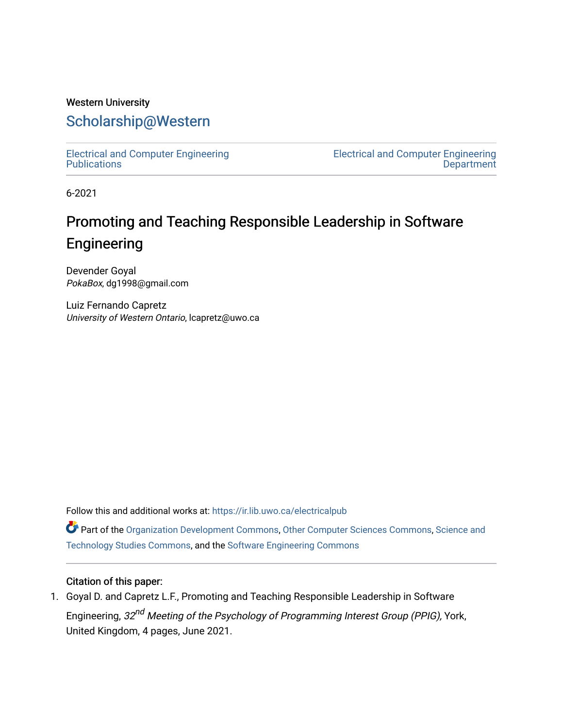# Western University [Scholarship@Western](https://ir.lib.uwo.ca/)

[Electrical and Computer Engineering](https://ir.lib.uwo.ca/electricalpub) **Publications** 

[Electrical and Computer Engineering](https://ir.lib.uwo.ca/electrical)  **Department** 

6-2021

# Promoting and Teaching Responsible Leadership in Software Engineering

Devender Goyal PokaBox, dg1998@gmail.com

Luiz Fernando Capretz University of Western Ontario, lcapretz@uwo.ca

Follow this and additional works at: [https://ir.lib.uwo.ca/electricalpub](https://ir.lib.uwo.ca/electricalpub?utm_source=ir.lib.uwo.ca%2Felectricalpub%2F589&utm_medium=PDF&utm_campaign=PDFCoverPages) 

Part of the [Organization Development Commons](http://network.bepress.com/hgg/discipline/1242?utm_source=ir.lib.uwo.ca%2Felectricalpub%2F589&utm_medium=PDF&utm_campaign=PDFCoverPages), [Other Computer Sciences Commons,](http://network.bepress.com/hgg/discipline/152?utm_source=ir.lib.uwo.ca%2Felectricalpub%2F589&utm_medium=PDF&utm_campaign=PDFCoverPages) [Science and](http://network.bepress.com/hgg/discipline/435?utm_source=ir.lib.uwo.ca%2Felectricalpub%2F589&utm_medium=PDF&utm_campaign=PDFCoverPages) [Technology Studies Commons,](http://network.bepress.com/hgg/discipline/435?utm_source=ir.lib.uwo.ca%2Felectricalpub%2F589&utm_medium=PDF&utm_campaign=PDFCoverPages) and the [Software Engineering Commons](http://network.bepress.com/hgg/discipline/150?utm_source=ir.lib.uwo.ca%2Felectricalpub%2F589&utm_medium=PDF&utm_campaign=PDFCoverPages) 

### Citation of this paper:

1. Goyal D. and Capretz L.F., Promoting and Teaching Responsible Leadership in Software Engineering, 32<sup>nd</sup> Meeting of the Psychology of Programming Interest Group (PPIG), York, United Kingdom, 4 pages, June 2021.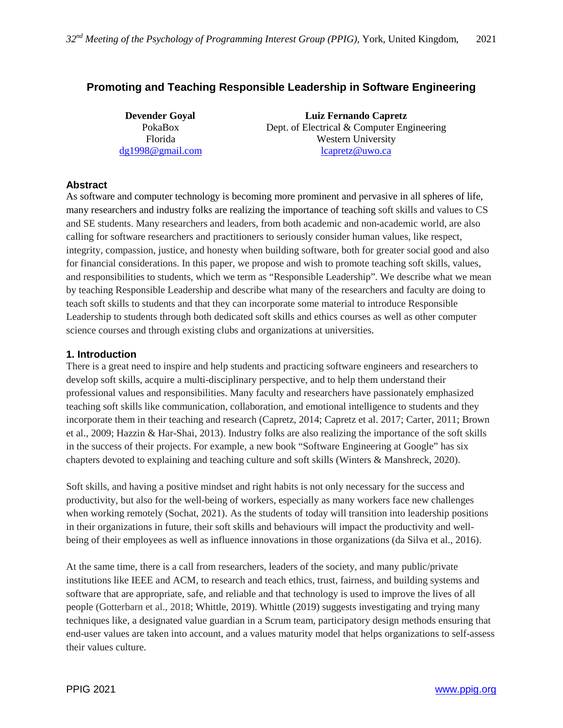## **Promoting and Teaching Responsible Leadership in Software Engineering**

**Devender Goyal Luiz Fernando Capretz** PokaBox Dept. of Electrical & Computer Engineering Florida Western University [dg1998@gmail.com](mailto:dg1998@gmail.com) [lcapretz@uwo.ca](mailto:lcapretz@uwo.ca)

#### **Abstract**

As software and computer technology is becoming more prominent and pervasive in all spheres of life, many researchers and industry folks are realizing the importance of teaching soft skills and values to CS and SE students. Many researchers and leaders, from both academic and non-academic world, are also calling for software researchers and practitioners to seriously consider human values, like respect, integrity, compassion, justice, and honesty when building software, both for greater social good and also for financial considerations. In this paper, we propose and wish to promote teaching soft skills, values, and responsibilities to students, which we term as "Responsible Leadership". We describe what we mean by teaching Responsible Leadership and describe what many of the researchers and faculty are doing to teach soft skills to students and that they can incorporate some material to introduce Responsible Leadership to students through both dedicated soft skills and ethics courses as well as other computer science courses and through existing clubs and organizations at universities.

#### **1. Introduction**

There is a great need to inspire and help students and practicing software engineers and researchers to develop soft skills, acquire a multi-disciplinary perspective, and to help them understand their professional values and responsibilities. Many faculty and researchers have passionately emphasized teaching soft skills like communication, collaboration, and emotional intelligence to students and they incorporate them in their teaching and research (Capretz, 2014; Capretz et al. 2017; Carter, 2011; Brown et al., 2009; Hazzin & Har-Shai, 2013). Industry folks are also realizing the importance of the soft skills in the success of their projects. For example, a new book "Software Engineering at Google" has six chapters devoted to explaining and teaching culture and soft skills (Winters & Manshreck, 2020).

Soft skills, and having a positive mindset and right habits is not only necessary for the success and productivity, but also for the well-being of workers, especially as many workers face new challenges when working remotely (Sochat, 2021). As the students of today will transition into leadership positions in their organizations in future, their soft skills and behaviours will impact the productivity and wellbeing of their employees as well as influence innovations in those organizations (da Silva et al., 2016).

At the same time, there is a call from researchers, leaders of the society, and many public/private institutions like IEEE and ACM, to research and teach ethics, trust, fairness, and building systems and software that are appropriate, safe, and reliable and that technology is used to improve the lives of all people (Gotterbarn et al., 2018; Whittle, 2019). Whittle (2019) suggests investigating and trying many techniques like, a designated value guardian in a Scrum team, participatory design methods ensuring that end-user values are taken into account, and a values maturity model that helps organizations to self-assess their values culture.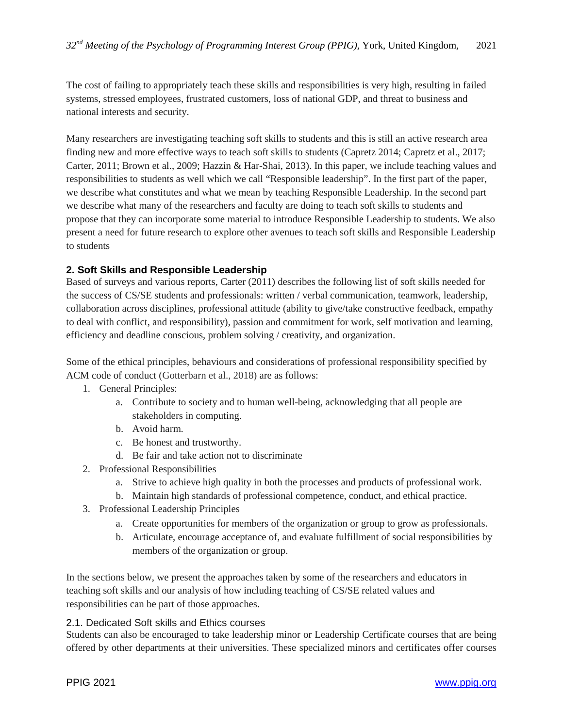The cost of failing to appropriately teach these skills and responsibilities is very high, resulting in failed systems, stressed employees, frustrated customers, loss of national GDP, and threat to business and national interests and security.

Many researchers are investigating teaching soft skills to students and this is still an active research area finding new and more effective ways to teach soft skills to students (Capretz 2014; Capretz et al., 2017; Carter, 2011; Brown et al., 2009; Hazzin & Har-Shai, 2013). In this paper, we include teaching values and responsibilities to students as well which we call "Responsible leadership". In the first part of the paper, we describe what constitutes and what we mean by teaching Responsible Leadership. In the second part we describe what many of the researchers and faculty are doing to teach soft skills to students and propose that they can incorporate some material to introduce Responsible Leadership to students. We also present a need for future research to explore other avenues to teach soft skills and Responsible Leadership to students

#### **2. Soft Skills and Responsible Leadership**

Based of surveys and various reports, Carter (2011) describes the following list of soft skills needed for the success of CS/SE students and professionals: written / verbal communication, teamwork, leadership, collaboration across disciplines, professional attitude (ability to give/take constructive feedback, empathy to deal with conflict, and responsibility), passion and commitment for work, self motivation and learning, efficiency and deadline conscious, problem solving / creativity, and organization.

Some of the ethical principles, behaviours and considerations of professional responsibility specified by ACM code of conduct (Gotterbarn et al., 2018) are as follows:

- 1. General Principles:
	- a. Contribute to society and to human well-being, acknowledging that all people are stakeholders in computing.
	- b. Avoid harm.
	- c. Be honest and trustworthy.
	- d. Be fair and take action not to discriminate
- 2. Professional Responsibilities
	- a. Strive to achieve high quality in both the processes and products of professional work.
	- b. Maintain high standards of professional competence, conduct, and ethical practice.
- 3. Professional Leadership Principles
	- a. Create opportunities for members of the organization or group to grow as professionals.
	- b. Articulate, encourage acceptance of, and evaluate fulfillment of social responsibilities by members of the organization or group.

In the sections below, we present the approaches taken by some of the researchers and educators in teaching soft skills and our analysis of how including teaching of CS/SE related values and responsibilities can be part of those approaches.

#### 2.1. Dedicated Soft skills and Ethics courses

Students can also be encouraged to take leadership minor or Leadership Certificate courses that are being offered by other departments at their universities. These specialized minors and certificates offer courses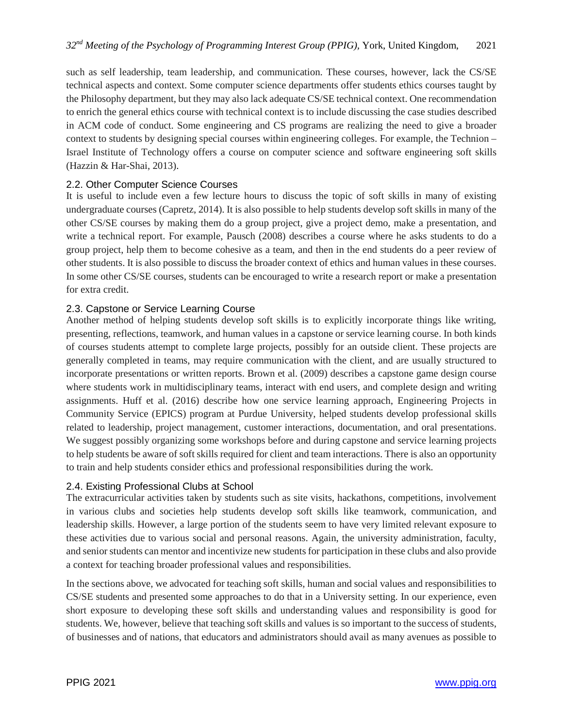such as self leadership, team leadership, and communication. These courses, however, lack the CS/SE technical aspects and context. Some computer science departments offer students ethics courses taught by the Philosophy department, but they may also lack adequate CS/SE technical context. One recommendation to enrich the general ethics course with technical context is to include discussing the case studies described in ACM code of conduct. Some engineering and CS programs are realizing the need to give a broader context to students by designing special courses within engineering colleges. For example, the Technion – Israel Institute of Technology offers a course on computer science and software engineering soft skills (Hazzin & Har-Shai, 2013).

#### 2.2. Other Computer Science Courses

It is useful to include even a few lecture hours to discuss the topic of soft skills in many of existing undergraduate courses (Capretz, 2014). It is also possible to help students develop soft skills in many of the other CS/SE courses by making them do a group project, give a project demo, make a presentation, and write a technical report. For example, Pausch (2008) describes a course where he asks students to do a group project, help them to become cohesive as a team, and then in the end students do a peer review of other students. It is also possible to discuss the broader context of ethics and human values in these courses. In some other CS/SE courses, students can be encouraged to write a research report or make a presentation for extra credit.

#### 2.3. Capstone or Service Learning Course

Another method of helping students develop soft skills is to explicitly incorporate things like writing, presenting, reflections, teamwork, and human values in a capstone or service learning course. In both kinds of courses students attempt to complete large projects, possibly for an outside client. These projects are generally completed in teams, may require communication with the client, and are usually structured to incorporate presentations or written reports. Brown et al. (2009) describes a capstone game design course where students work in multidisciplinary teams, interact with end users, and complete design and writing assignments. Huff et al. (2016) describe how one service learning approach, Engineering Projects in Community Service (EPICS) program at Purdue University, helped students develop professional skills related to leadership, project management, customer interactions, documentation, and oral presentations. We suggest possibly organizing some workshops before and during capstone and service learning projects to help students be aware of soft skills required for client and team interactions. There is also an opportunity to train and help students consider ethics and professional responsibilities during the work.

#### 2.4. Existing Professional Clubs at School

The extracurricular activities taken by students such as site visits, hackathons, competitions, involvement in various clubs and societies help students develop soft skills like teamwork, communication, and leadership skills. However, a large portion of the students seem to have very limited relevant exposure to these activities due to various social and personal reasons. Again, the university administration, faculty, and senior students can mentor and incentivize new students for participation in these clubs and also provide a context for teaching broader professional values and responsibilities.

In the sections above, we advocated for teaching soft skills, human and social values and responsibilities to CS/SE students and presented some approaches to do that in a University setting. In our experience, even short exposure to developing these soft skills and understanding values and responsibility is good for students. We, however, believe that teaching soft skills and values is so important to the success of students, of businesses and of nations, that educators and administrators should avail as many avenues as possible to